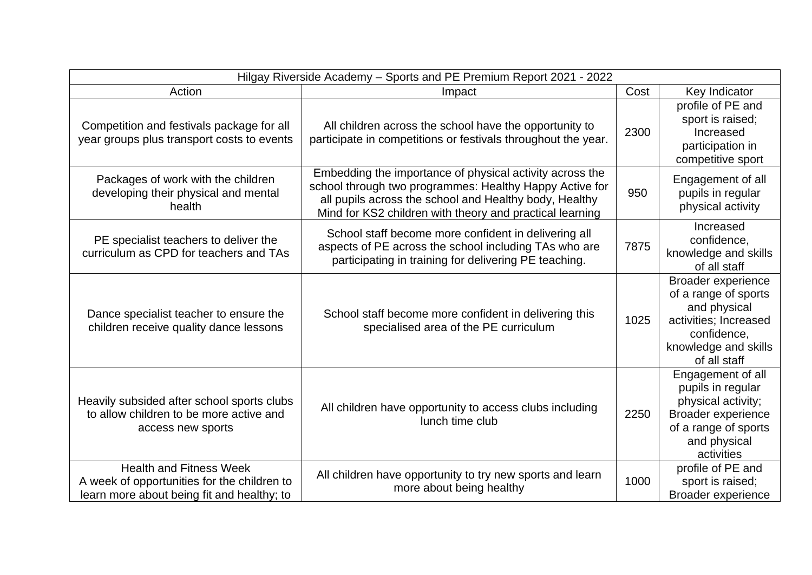| Hilgay Riverside Academy - Sports and PE Premium Report 2021 - 2022                                                         |                                                                                                                                                                                                                                           |      |                                                                                                                                                 |  |
|-----------------------------------------------------------------------------------------------------------------------------|-------------------------------------------------------------------------------------------------------------------------------------------------------------------------------------------------------------------------------------------|------|-------------------------------------------------------------------------------------------------------------------------------------------------|--|
| Action                                                                                                                      | Impact                                                                                                                                                                                                                                    | Cost | Key Indicator                                                                                                                                   |  |
| Competition and festivals package for all<br>year groups plus transport costs to events                                     | All children across the school have the opportunity to<br>participate in competitions or festivals throughout the year.                                                                                                                   | 2300 | profile of PE and<br>sport is raised;<br>Increased<br>participation in<br>competitive sport                                                     |  |
| Packages of work with the children<br>developing their physical and mental<br>health                                        | Embedding the importance of physical activity across the<br>school through two programmes: Healthy Happy Active for<br>all pupils across the school and Healthy body, Healthy<br>Mind for KS2 children with theory and practical learning | 950  | Engagement of all<br>pupils in regular<br>physical activity                                                                                     |  |
| PE specialist teachers to deliver the<br>curriculum as CPD for teachers and TAs                                             | School staff become more confident in delivering all<br>aspects of PE across the school including TAs who are<br>participating in training for delivering PE teaching.                                                                    | 7875 | Increased<br>confidence,<br>knowledge and skills<br>of all staff                                                                                |  |
| Dance specialist teacher to ensure the<br>children receive quality dance lessons                                            | School staff become more confident in delivering this<br>specialised area of the PE curriculum                                                                                                                                            | 1025 | Broader experience<br>of a range of sports<br>and physical<br>activities; Increased<br>confidence,<br>knowledge and skills<br>of all staff      |  |
| Heavily subsided after school sports clubs<br>to allow children to be more active and<br>access new sports                  | All children have opportunity to access clubs including<br>lunch time club                                                                                                                                                                | 2250 | Engagement of all<br>pupils in regular<br>physical activity;<br><b>Broader experience</b><br>of a range of sports<br>and physical<br>activities |  |
| <b>Health and Fitness Week</b><br>A week of opportunities for the children to<br>learn more about being fit and healthy; to | All children have opportunity to try new sports and learn<br>more about being healthy                                                                                                                                                     | 1000 | profile of PE and<br>sport is raised;<br><b>Broader experience</b>                                                                              |  |